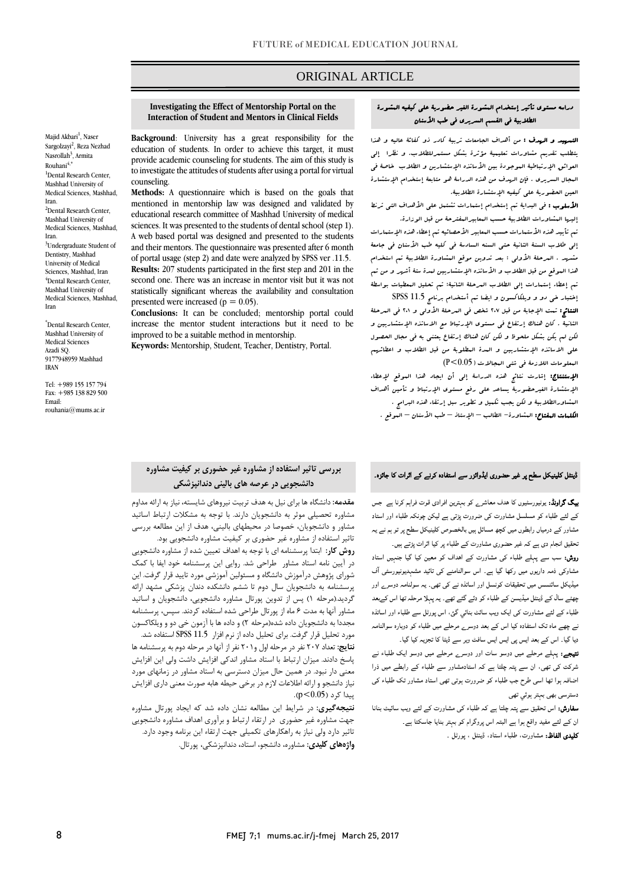# ORIGINAL ARTICLE

## دراسه مستوي تأثیر إستخدام المشورة الغیر حضوریۀ علی کیفیه المشورة الطلابیۀ فی القسم السریري فی طب الأسنان

ص

التمهید و الهدف : من أهداف الجامعات تربیۀ کادر ذو کفائۀ عالیه و هذا یتطلب تقدیم مشاورات تعلیمیۀ مؤثرة بشکل مستمرللطلاب. و نظرا إلی العوائق الإرتباطیۀ الموجودة بین الأساتذه الإستشارین و الطلاب خاصۀ فی المجال السریري . فإن الهدف من هذه الدراسۀ هو متابعۀ إستخدام الإستشارة العین الحضوریۀ علی کیفیه الإستشارة الطلابیۀ.

الأسلوب : فی البدایۀ تم إستخدام إستمارات تشتمل علی الأهداف التی ترنط إلیها المشاورات الطلابیۀ حسب المعابیرالمفترحۀ من قبل الوزارة. تم تأیید هذه الأستمارات حسب المعابیر الأحصائیه تم إعطاء هذه الإستمارات

إلی طلاب السنۀ الثانیۀ حتی السنه السادسۀ فی کلیه طب الأسنان فی جامعۀ مشهد . المرحلۀ الأولی : بعد تدوین موقع المشاورة الطلابیۀ تم استخدام هذا الموقع من قبل الطلاب و الأساتذه الإستشاریین لمدة ستۀ أشهر و من ثم تم إعطاء إستمارات إلی الطلاب المرحلۀ الثانیۀ: تم تحلیل المعطیات بواسطۀ إختبار خی دو و ویلکاکسون و ایضا تم أستخدام برنامج 11.5 SPSS

النتائج: تمت الإجابۀ من قبل 207 شخص فی المرحلۀ الأولی و 201 فی المرحلۀ الثانیۀ . کان هناك إرتفاع فی مستوي الإرتباط مع الاساتذه الإستشاریین و لکن لم یکن بشکل ملحوظ و لکن کان هناك إرتفاع یعتنی به فی مجال الحصول علی الاساتذه الإستشاریین و المدة المطلوبۀ من قبل الطلاب و اعطائهم المعلومات اللازمۀ فی شتی المجالات (0.05>P(

الإستنتاج: إشارت نتائج هذه الدراسۀ إلی أن ایجاد هذا الموقع لإعطاء الإستشارة الغیرحضوریۀ یساعد علی رفع مستوي الإرتباط و تأمین أهداف المشاورالطلابیۀ و لکن یجب تکمیل و تطویر سبل إرتقاء هذه البرامج . الکلمات المفتاح: المشاورة- الطالب – الإستاذ – طب الأسنان – الموقع .

#### **Investigating the Effect of Mentorship Portal on the Interaction of Student and Mentors in Clinical Fields**

**Background**: University has a great responsibility for the education of students. In order to achieve this target, it must provide academic counseling for students. The aim of this study is to investigate the attitudes of students after using a portal for virtual counseling. **Methods:** A questionnaire which is based on the goals that

mentioned in mentorship law was designed and validated by educational research committee of Mashhad University of medical sciences. It was presented to the students of dental school (step 1). A web based portal was designed and presented to the students and their mentors. The questionnaire was presented after 6 month of portal usage (step 2) and date were analyzed by SPSS ver .11.5. **Results:** 207 students participated in the first step and 201 in the second one. There was an increase in mentor visit but it was not statistically significant whereas the availability and consultation presented were increased ( $p = 0.05$ ).

**Conclusions:** It can be concluded; mentorship portal could increase the mentor student interactions but it need to be improved to be a suitable method in mentorship.

**Keywords:** Mentorship, Student, Teacher, Dentistry, Portal.

# **بررسی تاثیر استفاده از مشاوره غیر حضوري بر کیفیت مشاوره دانشجویی در عرصه هاي بالینی دندانپزشکی**

**مقدمه:** دانشگاه ها براي نیل به هدف تربیت نیروهاي شایسته، نیاز به ارائه مداوم مشاوره تحصیلی موثر به دانشجویان دارند. با توجه به مشکلات ارتباط اساتید مشاور و دانشجویان، خصوصا در محیطهاي بالینی، هدف از این مطالعه بررسی تاثیر استفاده از مشاوره غیر حضوري بر کیفیت مشاوره دانشجویی بود.

**روش کار:** ابتدا پرسشنامه اي با توجه به اهداف تعیین شده از مشاوره دانشجویی در آیین نامه استاد مشاور طراحی شد. روایی این پرسشنامه خود ایفا با کمک شوراي پژوهش درآموزش دانشگاه و مسئولین آموزشی مورد تایید قرار گرفت. این پرسشنامه به دانشجویان سال دوم تا ششم دانشکده دندان پزشکی مشهد ارائه گردید.(مرحله 1) پس از تدوین پورتال مشاوره دانشجویی، دانشجویان و اساتید مشاور آنها به مدت 6 ماه از پورتال طراحی شده استفاده کردند. سپس، پرسشنامه مجددا به دانشجویان داده شده(مرحله 2) و داده ها با آزمون خی دو و ویلکاکسون مورد تحلیل قرار گرفت. براي تحلیل داده از نرم افزار 11.5 SPSS استفاده شد.

**نتایج:** تعداد 207 نفر در مرحله اول و201 نفر از آنها در مرحله دوم به پرسشنامه ها پاسخ دادند. میزان ارتباط با استاد مشاور اندکی افزایش داشت ولی این افزایش معنی دار نبود. در همین حال میزان دسترسی به استاد مشاور در زمانهاي مورد نیاز دانشجو و ارائه اطلاعات لازم در برخی حیطه هابه صورت معنی داري افزایش  $(p<0.05)$  پیدا کرد (0.05

**نتیجهگیري:** در شرایط این مطالعه نشان داده شد که ایجاد پورتال مشاوره جهت مشاوره غیر حضوري در ارتقاء ارتباط و برآوري اهداف مشاوره دانشجویی تاثیر دارد ولی نیاز به راهکارهاي تکمیلی جهت ارتقاء این برنامه وجود دارد. **واژههاي کلیدي:** مشاوره، دانشجو، استاد**،** دندانپزشکی، پورتال. بیگ گراونڈ: یونیورسٹیوں کا ھدف معاشرے کو بہترین افرادی قوت فراہم کرنا ہے جس کے لئے طلباء کو مسلسل مشاورت کی ضرورت پڑتی ہے لیکن چونکہ طلباء اور استاد مشاور کے درمیاں رابطوں میں کچھ مسائل ہيں بالخصوص کلینیکل سطح پر تو ہم نے یہ تحقیق انجام دی ہے کہ غیر حضوری مشاورت کے طلباء پر کیا اثرات پڑتے ہیں۔

ڈینٹل کلینیکل سطح پر غیر حضوری ایڈوائزر سے استفادہ کرنے کے اثرات کا جائزہ۔

روش: سب سے پہلے طلباء کی مشاورت کے اھداف کو معین کیا گیا جنہیں استاد مشاوکی ذمہ داریوں میں رکھا گيا ہے۔ اس سوالنامنے کی تائيد مشہدیونیورسٹی آف میڈیکل سائںسس میں تحقیقات کونسل اور اساتذہ نے کی تھی۔ یہ سولنامہ دوسرے اور چھٹے سال کے ڈینٹل میڈیسن کے طلباء کو دئے گئے تھے۔ یہ پہ�� مرحلہ تھا اس کےبعد طلباء کے لئے مشاورت کی ایک ویب سائٹ بنائي گئ، اس پورٹل سے طلباء اور اساتذہ نے چھے ماہ تک استفادہ کیا اس کے بعد دوسرے مرحلے میں طلباء کو دوبارہ سوالنامہ دیا گیا۔ اس کے بعد ایس پی ایس ایس سافٹ ویر سے ڈیٹا کا تجزیہ کیا گيا۔

نتیجے: پہلے مرحلے میں دوسو سات اور دوسرے مرحلے میں دوسو ایک طلباء نے شرکت کی تھی، ان سے پتہ چلتا ہے کہ استادمشاور سے طلباء کے رابطے میں ذرا اضافہ ہوا تھا اسی طرح جب طلباء کو ضرورت ہوتی تھی استاد مشاور تک طلباء کی دسترسی بھی بہتر ہوئي تھی

سفارش: اس تحقیق سے پتہ چلتا ہے کہ طلباء کی مشاورت کے لئے ویب سائیٹ بنانا ان کے لئے مفید واقع ہوا ہے البتہ اس پروگرام کو بہتر بنایا جاسکتا ہے۔ کلیدی الفاظ: مشاورت، طلباء استاد، ڈینٹل ، پورٹل ۔

Nasrollah<sup>3</sup>, Armita  $Rouhan<sup>4</sup>$ <sup>1</sup>Dental Research Center, Mashhad University of Medical Sciences, Mashhad, Iran. <sup>2</sup>Dental Research Center, Mashhad University of Medical Sciences, Mashhad, Iran. <sup>3</sup>Undergraduate Student of Dentistry, Mashhad University of Medical Sciences, Mashhad, Iran 4 Dental Research Center, Mashhad University of Medical Sciences, Mashhad, Iran

Majid Akbari<sup>1</sup>, Naser Sargolzayi<sup>2</sup>, Reza Nezhad

\* Dental Research Center, Mashhad University of Medical Sciences Azadi SQ. 9177948959 Mashhad IRAN

Tel: +989 155 157 794 Fax: +985 138 829 500 Email: rouhania@mums.ac.ir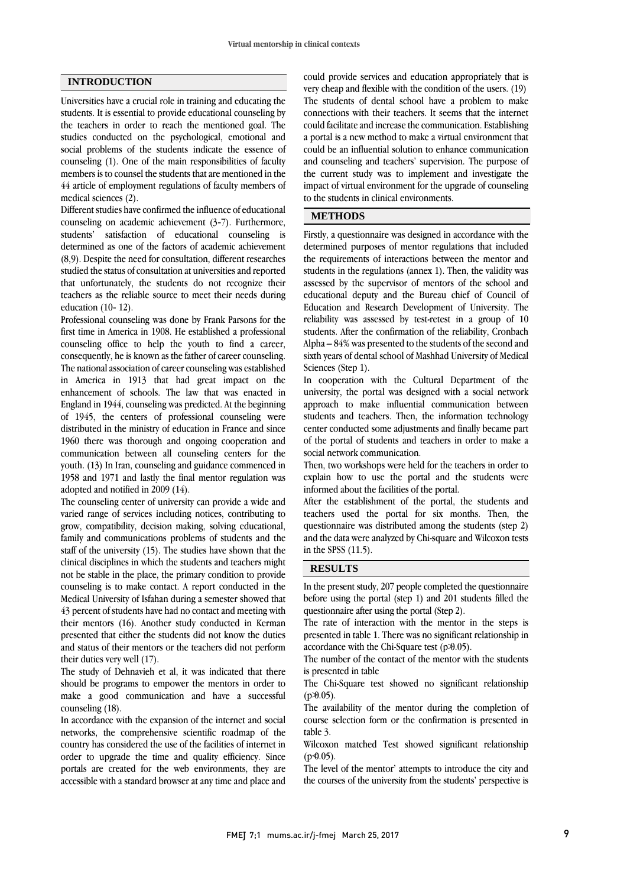## **INTRODUCTION**

Universities have a crucial role in training and educating the students. It is essential to provide educational counseling by the teachers in order to reach the mentioned goal. The studies conducted on the psychological, emotional and social problems of the students indicate the essence of counseling (1). One of the main responsibilities of faculty members is to counsel the students that are mentioned in the 44 article of employment regulations of faculty members of medical sciences (2).

Different studies have confirmed the influence of educational counseling on academic achievement (3-7). Furthermore, students' satisfaction of educational counseling is determined as one of the factors of academic achievement (8,9). Despite the need for consultation, different researches studied the status of consultation at universities and reported that unfortunately, the students do not recognize their teachers as the reliable source to meet their needs during education (10- 12).

Professional counseling was done by Frank Parsons for the first time in America in 1908. He established a professional counseling office to help the youth to find a career, consequently, he is known as the father of career counseling. The national association of career counseling was established in America in 1913 that had great impact on the enhancement of schools. The law that was enacted in England in 1944, counseling was predicted. At the beginning of 1945, the centers of professional counseling were distributed in the ministry of education in France and since 1960 there was thorough and ongoing cooperation and communication between all counseling centers for the youth. (13) In Iran, counseling and guidance commenced in 1958 and 1971 and lastly the final mentor regulation was adopted and notified in 2009 (14).

The counseling center of university can provide a wide and varied range of services including notices, contributing to grow, compatibility, decision making, solving educational, family and communications problems of students and the staff of the university (15). The studies have shown that the clinical disciplines in which the students and teachers might not be stable in the place, the primary condition to provide counseling is to make contact. A report conducted in the Medical University of Isfahan during a semester showed that 43 percent of students have had no contact and meeting with their mentors (16). Another study conducted in Kerman presented that either the students did not know the duties and status of their mentors or the teachers did not perform their duties very well (17).

The study of Dehnavieh et al, it was indicated that there should be programs to empower the mentors in order to make a good communication and have a successful counseling (18).

In accordance with the expansion of the internet and social networks, the comprehensive scientific roadmap of the country has considered the use of the facilities of internet in order to upgrade the time and quality efficiency. Since portals are created for the web environments, they are accessible with a standard browser at any time and place and could provide services and education appropriately that is very cheap and flexible with the condition of the users. (19) The students of dental school have a problem to make connections with their teachers. It seems that the internet could facilitate and increase the communication. Establishing a portal is a new method to make a virtual environment that could be an influential solution to enhance communication and counseling and teachers' supervision. The purpose of the current study was to implement and investigate the impact of virtual environment for the upgrade of counseling to the students in clinical environments.

## **METHODS**

Firstly, a questionnaire was designed in accordance with the determined purposes of mentor regulations that included the requirements of interactions between the mentor and students in the regulations (annex 1). Then, the validity was assessed by the supervisor of mentors of the school and educational deputy and the Bureau chief of Council of Education and Research Development of University. The reliability was assessed by test-retest in a group of 10 students. After the confirmation of the reliability, Cronbach Alpha – 84% was presented to the students of the second and sixth years of dental school of Mashhad University of Medical Sciences (Step 1).

In cooperation with the Cultural Department of the university, the portal was designed with a social network approach to make influential communication between students and teachers. Then, the information technology center conducted some adjustments and finally became part of the portal of students and teachers in order to make a social network communication.

Then, two workshops were held for the teachers in order to explain how to use the portal and the students were informed about the facilities of the portal.

After the establishment of the portal, the students and teachers used the portal for six months. Then, the questionnaire was distributed among the students (step 2) and the data were analyzed by Chi-square and Wilcoxon tests in the SPSS (11.5).

#### **RESULTS**

In the present study, 207 people completed the questionnaire before using the portal (step 1) and 201 students filled the questionnaire after using the portal (Step 2).

The rate of interaction with the mentor in the steps is presented in table 1. There was no significant relationship in accordance with the Chi-Square test  $(p\mathcal{D}0.05)$ .

The number of the contact of the mentor with the students is presented in table

The Chi-Square test showed no significant relationship  $(p\mathcal{D}0.05)$ .

The availability of the mentor during the completion of course selection form or the confirmation is presented in table 3.

Wilcoxon matched Test showed significant relationship  $(p=0.05)$ .

The level of the mentor' attempts to introduce the city and the courses of the university from the students' perspective is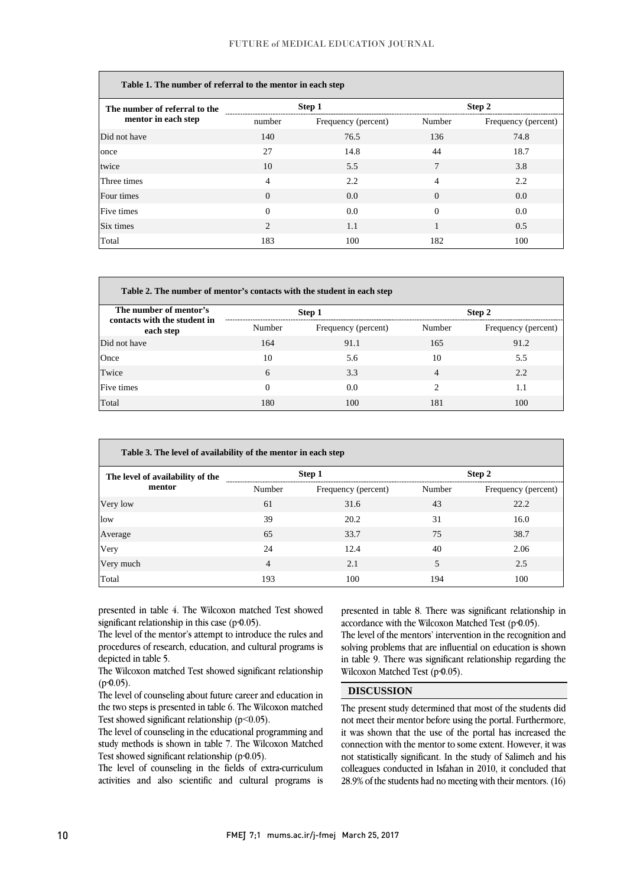| Table 1. The number of referral to the mentor in each step |                |                     |          |                     |  |
|------------------------------------------------------------|----------------|---------------------|----------|---------------------|--|
| The number of referral to the                              | Step 1         |                     | Step 2   |                     |  |
| mentor in each step                                        | number         | Frequency (percent) | Number   | Frequency (percent) |  |
| Did not have                                               | 140            | 76.5                | 136      | 74.8                |  |
| once                                                       | 27             | 14.8                | 44       | 18.7                |  |
| twice                                                      | 10             | 5.5                 | 7        | 3.8                 |  |
| Three times                                                | $\overline{4}$ | 2.2                 | 4        | 2.2                 |  |
| Four times                                                 | $\Omega$       | 0.0                 | $\Omega$ | 0.0                 |  |
| Five times                                                 | $\Omega$       | 0.0                 | $\Omega$ | 0.0                 |  |
| Six times                                                  | $\overline{c}$ | 1.1                 | 1        | 0.5                 |  |
| Total                                                      | 183            | 100                 | 182      | 100                 |  |

| Table 2. The number of mentor's contacts with the student in each step |          |                     |        |                     |
|------------------------------------------------------------------------|----------|---------------------|--------|---------------------|
| The number of mentor's<br>contacts with the student in                 | Step 1   |                     | Step 2 |                     |
| each step                                                              | Number   | Frequency (percent) | Number | Frequency (percent) |
| Did not have                                                           | 164      | 91.1                | 165    | 91.2                |
| Once                                                                   | 10       | 5.6                 | 10     | 5.5                 |
| Twice                                                                  | 6        | 3.3                 | 4      | 2.2                 |
| Five times                                                             | $\Omega$ | 0.0                 | っ      | 1.1                 |
| Total                                                                  | 180      | 100                 | 181    | 100                 |

| Table 3. The level of availability of the mentor in each step |        |                     |        |                     |
|---------------------------------------------------------------|--------|---------------------|--------|---------------------|
| The level of availability of the                              | Step 1 |                     | Step 2 |                     |
| mentor                                                        | Number | Frequency (percent) | Number | Frequency (percent) |
| Very low                                                      | 61     | 31.6                | 43     | 22.2                |
| low                                                           | 39     | 20.2                | 31     | 16.0                |
| Average                                                       | 65     | 33.7                | 75     | 38.7                |
| Very                                                          | 24     | 12.4                | 40     | 2.06                |
| Very much                                                     | 4      | 2.1                 | 5      | 2.5                 |
| Total                                                         | 193    | 100                 | 194    | 100                 |

presented in table 4. The Wilcoxon matched Test showed significant relationship in this case  $(p\cdot 0.05)$ .

The level of the mentor's attempt to introduce the rules and procedures of research, education, and cultural programs is depicted in table 5.

The Wilcoxon matched Test showed significant relationship  $(p<sub>0.05</sub>)$ .

The level of counseling about future career and education in the two steps is presented in table 6. The Wilcoxon matched Test showed significant relationship (p˂0.05).

The level of counseling in the educational programming and study methods is shown in table 7. The Wilcoxon Matched Test showed significant relationship  $(p\triangleleft 0.05)$ .

The level of counseling in the fields of extra-curriculum activities and also scientific and cultural programs is presented in table 8. There was significant relationship in accordance with the Wilcoxon Matched Test ( $p=4.05$ ).

The level of the mentors' intervention in the recognition and solving problems that are influential on education is shown in table 9. There was significant relationship regarding the Wilcoxon Matched Test (p $\Phi$ 0.05).

### **DISCUSSION**

The present study determined that most of the students did not meet their mentor before using the portal. Furthermore, it was shown that the use of the portal has increased the connection with the mentor to some extent. However, it was not statistically significant. In the study of Salimeh and his colleagues conducted in Isfahan in 2010, it concluded that 28.9% of the students had no meeting with their mentors. (16)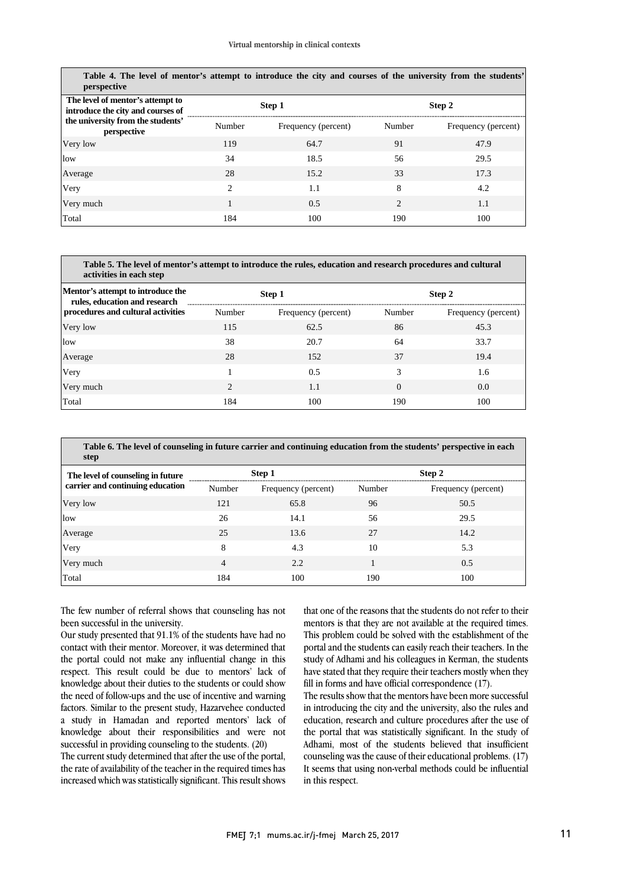| Table 4. The level of mentor's attempt to introduce the city and courses of the university from the students'<br>perspective |               |                     |                |                     |
|------------------------------------------------------------------------------------------------------------------------------|---------------|---------------------|----------------|---------------------|
| The level of mentor's attempt to<br>introduce the city and courses of                                                        | Step 1        |                     | Step 2         |                     |
| the university from the students'<br>perspective                                                                             | Number        | Frequency (percent) | Number         | Frequency (percent) |
| Very low                                                                                                                     | 119           | 64.7                | 91             | 47.9                |
| low                                                                                                                          | 34            | 18.5                | 56             | 29.5                |
| Average                                                                                                                      | 28            | 15.2                | 33             | 17.3                |
| Very                                                                                                                         | $\mathcal{L}$ | 1.1                 | 8              | 4.2                 |
| Very much                                                                                                                    |               | 0.5                 | $\mathfrak{D}$ | 1.1                 |
| Total                                                                                                                        | 184           | 100                 | 190            | 100                 |

| Table 5. The level of mentor's attempt to introduce the rules, education and research procedures and cultural<br>activities in each step |                |                     |          |                     |  |
|------------------------------------------------------------------------------------------------------------------------------------------|----------------|---------------------|----------|---------------------|--|
| Mentor's attempt to introduce the<br>rules, education and research                                                                       | Step 1         |                     | Step 2   |                     |  |
| procedures and cultural activities                                                                                                       | Number         | Frequency (percent) | Number   | Frequency (percent) |  |
| Very low                                                                                                                                 | 115            | 62.5                | 86       | 45.3                |  |
| low                                                                                                                                      | 38             | 20.7                | 64       | 33.7                |  |
| Average                                                                                                                                  | 28             | 152                 | 37       | 19.4                |  |
| Very                                                                                                                                     |                | 0.5                 | 3        | 1.6                 |  |
| Very much                                                                                                                                | $\mathfrak{D}$ | 1.1                 | $\Omega$ | 0.0                 |  |
| Total                                                                                                                                    | 184            | 100                 | 190      | 100                 |  |

**Table 6. The level of counseling in future carrier and continuing education from the students' perspective in each step**

| The level of counseling in future |        | Step 1              |        | Step 2              |  |  |
|-----------------------------------|--------|---------------------|--------|---------------------|--|--|
| carrier and continuing education  | Number | Frequency (percent) | Number | Frequency (percent) |  |  |
| Very low                          | 121    | 65.8                | 96     | 50.5                |  |  |
| low                               | 26     | 14.1                | 56     | 29.5                |  |  |
| Average                           | 25     | 13.6                | 27     | 14.2                |  |  |
| Very                              | 8      | 4.3                 | 10     | 5.3                 |  |  |
| Very much                         | 4      | 2.2                 |        | 0.5                 |  |  |
| Total                             | 184    | 100                 | 190    | 100                 |  |  |

The few number of referral shows that counseling has not been successful in the university.

Our study presented that 91.1% of the students have had no contact with their mentor. Moreover, it was determined that the portal could not make any influential change in this respect. This result could be due to mentors' lack of knowledge about their duties to the students or could show the need of follow-ups and the use of incentive and warning factors. Similar to the present study, Hazarvehee conducted a study in Hamadan and reported mentors' lack of knowledge about their responsibilities and were not successful in providing counseling to the students. (20)

The current study determined that after the use of the portal, the rate of availability of the teacher in the required times has increased which was statistically significant. This result shows that one of the reasons that the students do not refer to their mentors is that they are not available at the required times. This problem could be solved with the establishment of the portal and the students can easily reach their teachers. In the study of Adhami and his colleagues in Kerman, the students have stated that they require their teachers mostly when they fill in forms and have official correspondence (17).

The results show that the mentors have been more successful in introducing the city and the university, also the rules and education, research and culture procedures after the use of the portal that was statistically significant. In the study of Adhami, most of the students believed that insufficient counseling was the cause of their educational problems. (17) It seems that using non-verbal methods could be influential in this respect.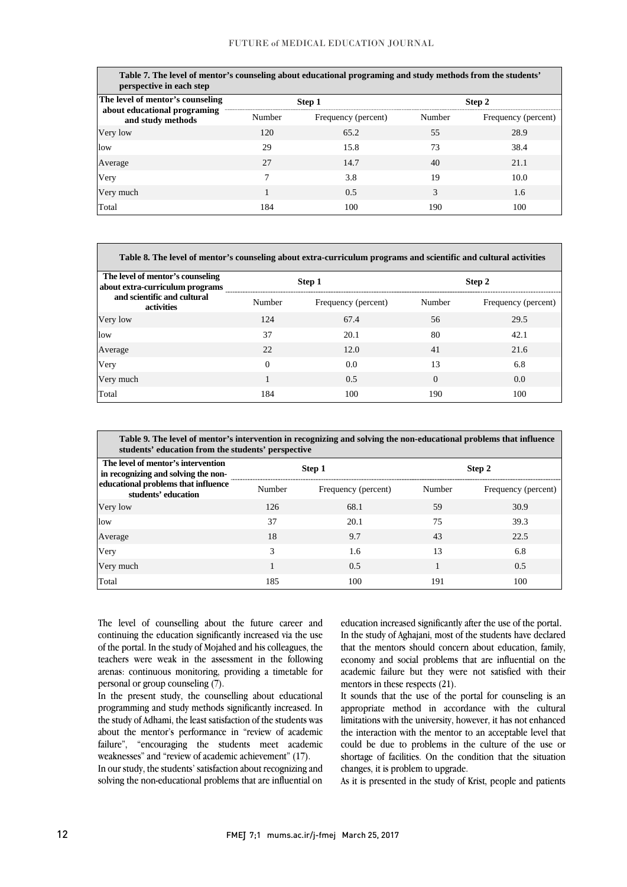**Table 7. The level of mentor's counseling about educational programing and study methods from the students' perspective in each step**

| perspective in each siep                                                              |        |                     |        |                     |  |
|---------------------------------------------------------------------------------------|--------|---------------------|--------|---------------------|--|
| The level of mentor's counseling<br>about educational programing<br>and study methods | Step 1 |                     | Step 2 |                     |  |
|                                                                                       | Number | Frequency (percent) | Number | Frequency (percent) |  |
| Very low                                                                              | 120    | 65.2                | 55     | 28.9                |  |
| low                                                                                   | 29     | 15.8                | 73     | 38.4                |  |
| Average                                                                               | 27     | 14.7                | 40     | 21.1                |  |
| Very                                                                                  |        | 3.8                 | 19     | 10.0                |  |
| Very much                                                                             |        | 0.5                 | 3      | 1.6                 |  |
| Total                                                                                 | 184    | 100                 | 190    | 100                 |  |

| Table 8. The level of mentor's counseling about extra-curriculum programs and scientific and cultural activities |          |                     |          |                     |
|------------------------------------------------------------------------------------------------------------------|----------|---------------------|----------|---------------------|
| The level of mentor's counseling<br>about extra-curriculum programs                                              | Step 1   |                     | Step 2   |                     |
| and scientific and cultural<br>activities                                                                        | Number   | Frequency (percent) | Number   | Frequency (percent) |
| Very low                                                                                                         | 124      | 67.4                | 56       | 29.5                |
| low                                                                                                              | 37       | 20.1                | 80       | 42.1                |
| Average                                                                                                          | 22       | 12.0                | 41       | 21.6                |
| Very                                                                                                             | $\Omega$ | 0.0                 | 13       | 6.8                 |
| Very much                                                                                                        |          | 0.5                 | $\theta$ | 0.0                 |
| Total                                                                                                            | 184      | 100                 | 190      | 100                 |

| Table 9. The level of mentor's intervention in recognizing and solving the non-educational problems that influence<br>students' education from the students' perspective |        |                     |        |                     |  |
|--------------------------------------------------------------------------------------------------------------------------------------------------------------------------|--------|---------------------|--------|---------------------|--|
| The level of mentor's intervention<br>in recognizing and solving the non-<br>educational problems that influence<br>students' education                                  | Step 1 |                     | Step 2 |                     |  |
|                                                                                                                                                                          | Number | Frequency (percent) | Number | Frequency (percent) |  |
| Very low                                                                                                                                                                 | 126    | 68.1                | 59     | 30.9                |  |
| low                                                                                                                                                                      | 37     | 20.1                | 75     | 39.3                |  |
| Average                                                                                                                                                                  | 18     | 9.7                 | 43     | 22.5                |  |
| Very                                                                                                                                                                     | 3      | 1.6                 | 13     | 6.8                 |  |
| Very much                                                                                                                                                                | 1      | 0.5                 |        | 0.5                 |  |
| Total                                                                                                                                                                    | 185    | 100                 | 191    | 100                 |  |

The level of counselling about the future career and continuing the education significantly increased via the use of the portal. In the study of Mojahed and his colleagues, the teachers were weak in the assessment in the following arenas: continuous monitoring, providing a timetable for personal or group counseling (7).

In the present study, the counselling about educational programming and study methods significantly increased. In the study of Adhami, the least satisfaction of the students was about the mentor's performance in "review of academic failure", "encouraging the students meet academic weaknesses" and "review of academic achievement" (17). In our study, the students' satisfaction about recognizing and solving the non-educational problems that are influential on

education increased significantly after the use of the portal. In the study of Aghajani, most of the students have declared that the mentors should concern about education, family, economy and social problems that are influential on the academic failure but they were not satisfied with their mentors in these respects (21).

It sounds that the use of the portal for counseling is an appropriate method in accordance with the cultural limitations with the university, however, it has not enhanced the interaction with the mentor to an acceptable level that could be due to problems in the culture of the use or shortage of facilities. On the condition that the situation changes, it is problem to upgrade.

As it is presented in the study of Krist, people and patients